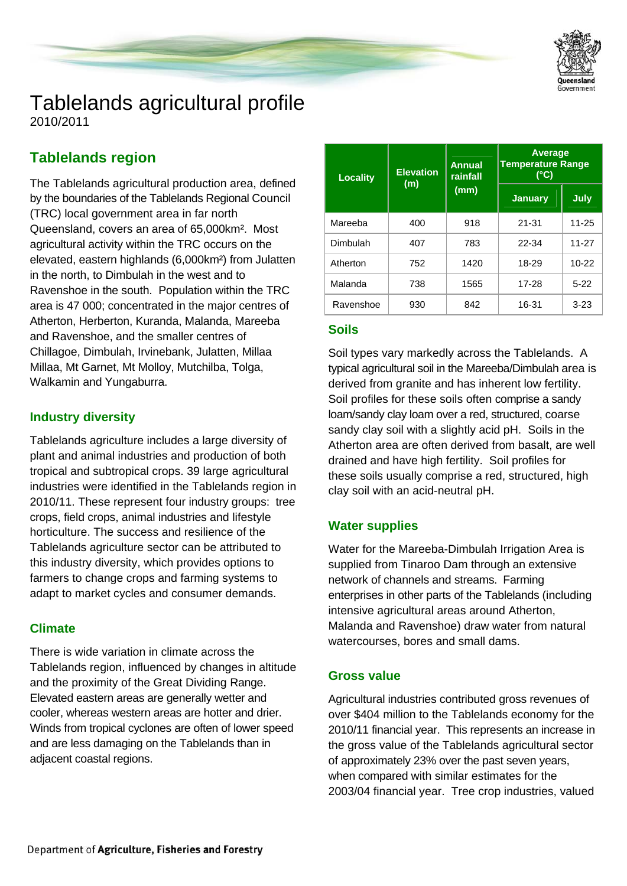

# Tablelands agricultural profile

2010/2011

## **Tablelands region**

The Tablelands agricultural production area, defined by the boundaries of the Tablelands Regional Council (TRC) local government area in far north Queensland, covers an area of 65,000km². Most agricultural activity within the TRC occurs on the elevated, eastern highlands (6,000km²) from Julatten in the north, to Dimbulah in the west and to Ravenshoe in the south. Population within the TRC area is 47 000; concentrated in the major centres of Atherton, Herberton, Kuranda, Malanda, Mareeba and Ravenshoe, and the smaller centres of Chillagoe, Dimbulah, Irvinebank, Julatten, Millaa Millaa, Mt Garnet, Mt Molloy, Mutchilba, Tolga, Walkamin and Yungaburra.

## **Industry diversity**

Tablelands agriculture includes a large diversity of plant and animal industries and production of both tropical and subtropical crops. 39 large agricultural industries were identified in the Tablelands region in 2010/11. These represent four industry groups: tree crops, field crops, animal industries and lifestyle horticulture. The success and resilience of the Tablelands agriculture sector can be attributed to this industry diversity, which provides options to farmers to change crops and farming systems to adapt to market cycles and consumer demands.

## **Climate**

There is wide variation in climate across the Tablelands region, influenced by changes in altitude and the proximity of the Great Dividing Range. Elevated eastern areas are generally wetter and cooler, whereas western areas are hotter and drier. Winds from tropical cyclones are often of lower speed and are less damaging on the Tablelands than in adjacent coastal regions.

| <b>Locality</b> | <b>Elevation</b><br>(m) | <b>Annual</b><br>rainfall<br>(mm) | <b>Average</b><br><b>Temperature Range</b><br>$(^{\circ}C)$ |             |  |
|-----------------|-------------------------|-----------------------------------|-------------------------------------------------------------|-------------|--|
|                 |                         |                                   | <b>January</b>                                              | <b>July</b> |  |
| Mareeba         | 400                     | 918                               | $21 - 31$                                                   | 11-25       |  |
| Dimbulah        | 407                     | 783                               | 22-34                                                       | $11 - 27$   |  |
| Atherton        | 752                     | 1420                              | 18-29                                                       | $10 - 22$   |  |
| Malanda         | 738                     | 1565                              | 17-28                                                       | $5-22$      |  |
| Ravenshoe       | 930                     | 842                               | 16-31                                                       | $3 - 23$    |  |

## **Soils**

Soil types vary markedly across the Tablelands. A typical agricultural soil in the Mareeba/Dimbulah area is derived from granite and has inherent low fertility. Soil profiles for these soils often comprise a sandy loam/sandy clay loam over a red, structured, coarse sandy clay soil with a slightly acid pH. Soils in the Atherton area are often derived from basalt, are well drained and have high fertility. Soil profiles for these soils usually comprise a red, structured, high clay soil with an acid-neutral pH.

## **Water supplies**

Water for the Mareeba-Dimbulah Irrigation Area is supplied from Tinaroo Dam through an extensive network of channels and streams. Farming enterprises in other parts of the Tablelands (including intensive agricultural areas around Atherton, Malanda and Ravenshoe) draw water from natural watercourses, bores and small dams.

## **Gross value**

Agricultural industries contributed gross revenues of over \$404 million to the Tablelands economy for the 2010/11 financial year. This represents an increase in the gross value of the Tablelands agricultural sector of approximately 23% over the past seven years, when compared with similar estimates for the 2003/04 financial year. Tree crop industries, valued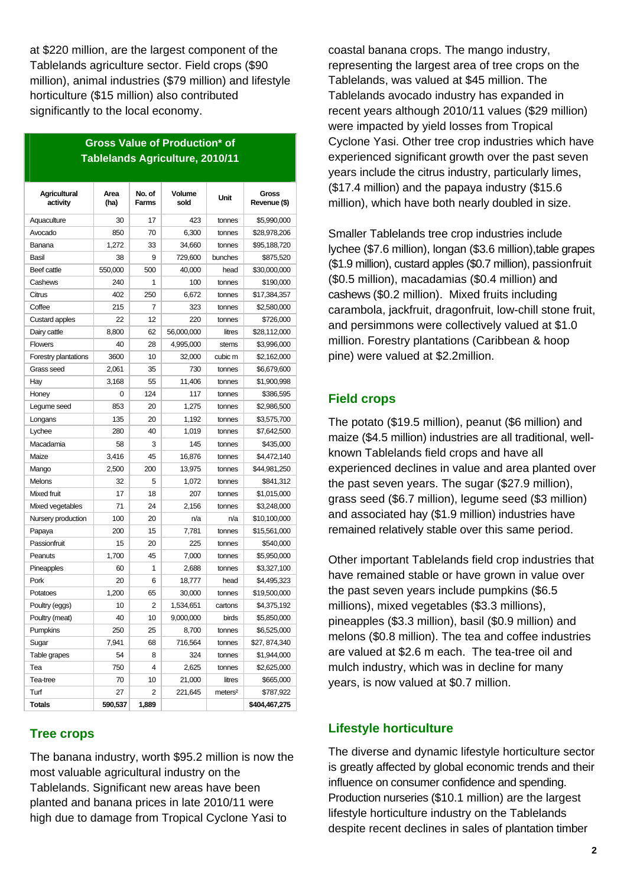at \$220 million, are the largest component of the Tablelands agriculture sector. Field crops (\$90 million), animal industries (\$79 million) and lifestyle horticulture (\$15 million) also contributed significantly to the local economy.

#### **Gross Value of Production\* of Tablelands Agriculture, 2010/11**

| <b>Agricultural</b><br>activity | Area<br>(ha) | No. of<br><b>Farms</b> | Volume<br>sold | Unit                | Gross<br>Revenue (\$) |
|---------------------------------|--------------|------------------------|----------------|---------------------|-----------------------|
| Aquaculture                     | 30           | 17                     | 423            | tonnes              | \$5,990,000           |
| Avocado                         | 850          | 70                     | 6,300          | tonnes              | \$28,978,206          |
| Banana                          | 1,272        | 33                     | 34,660         | tonnes              | \$95,188,720          |
| <b>Basil</b>                    | 38           | 9                      | 729,600        | bunches             | \$875,520             |
| Beef cattle                     | 550,000      | 500                    | 40,000         | head                | \$30,000,000          |
| Cashews                         | 240          | 1                      | 100            | tonnes              | \$190,000             |
| Citrus                          | 402          | 250                    | 6,672          | tonnes              | \$17,384,357          |
| Coffee                          | 215          | 7                      | 323            | tonnes              | \$2,580,000           |
| <b>Custard apples</b>           | 22           | 12                     | 220            | tonnes              | \$726,000             |
| Dairy cattle                    | 8,800        | 62                     | 56,000,000     | litres              | \$28,112,000          |
| <b>Flowers</b>                  | 40           | 28                     | 4,995,000      | stems               | \$3,996,000           |
| Forestry plantations            | 3600         | 10                     | 32,000         | cubic m             | \$2,162,000           |
| Grass seed                      | 2,061        | 35                     | 730            | tonnes              | \$6,679,600           |
| Hay                             | 3,168        | 55                     | 11,406         | tonnes              | \$1,900,998           |
| Honey                           | 0            | 124                    | 117            | tonnes              | \$386,595             |
| Legume seed                     | 853          | 20                     | 1,275          | tonnes              | \$2,986,500           |
| Longans                         | 135          | 20                     | 1,192          | tonnes              | \$3,575,700           |
| Lychee                          | 280          | 40                     | 1,019          | tonnes              | \$7,642,500           |
| Macadamia                       | 58           | 3                      | 145            | tonnes              | \$435,000             |
| Maize                           | 3,416        | 45                     | 16,876         | tonnes              | \$4,472,140           |
| Mango                           | 2,500        | 200                    | 13,975         | tonnes              | \$44,981,250          |
| Melons                          | 32           | 5                      | 1,072          | tonnes              | \$841,312             |
| Mixed fruit                     | 17           | 18                     | 207            | tonnes              | \$1,015,000           |
| Mixed vegetables                | 71           | 24                     | 2,156          | tonnes              | \$3,248,000           |
| Nursery production              | 100          | 20                     | n/a            | n/a                 | \$10,100,000          |
| Papaya                          | 200          | 15                     | 7,781          | tonnes              | \$15,561,000          |
| Passionfruit                    | 15           | 20                     | 225            | tonnes              | \$540,000             |
| Peanuts                         | 1,700        | 45                     | 7,000          | tonnes              | \$5,950,000           |
| Pineapples                      | 60           | $\overline{1}$         | 2,688          | tonnes              | \$3,327,100           |
| Pork                            | 20           | 6                      | 18,777         | head                | \$4,495,323           |
| Potatoes                        | 1,200        | 65                     | 30,000         | tonnes              | \$19,500,000          |
| Poultry (eggs)                  | 10           | $\overline{2}$         | 1,534,651      | cartons             | \$4,375,192           |
| Poultry (meat)                  | 40           | 10                     | 9,000,000      | birds               | \$5,850,000           |
| Pumpkins                        | 250          | 25                     | 8,700          | tonnes              | \$6,525,000           |
| Sugar                           | 7,941        | 68                     | 716,564        | tonnes              | \$27, 874,340         |
| Table grapes                    | 54           | 8                      | 324            | tonnes              | \$1,944,000           |
| Tea                             | 750          | $\overline{4}$         | 2,625          | tonnes              | \$2,625,000           |
| Tea-tree                        | 70           | 10                     | 21,000         | litres              | \$665,000             |
| Turf                            | 27           | 2                      | 221,645        | meters <sup>2</sup> | \$787,922             |
| <b>Totals</b>                   | 590,537      | 1,889                  |                |                     | \$404,467,275         |

## **Tree crops**

The banana industry, worth \$95.2 million is now the most valuable agricultural industry on the Tablelands. Significant new areas have been planted and banana prices in late 2010/11 were high due to damage from Tropical Cyclone Yasi to

coastal banana crops. The mango industry, representing the largest area of tree crops on the Tablelands, was valued at \$45 million. The Tablelands avocado industry has expanded in recent years although 2010/11 values (\$29 million) were impacted by yield losses from Tropical Cyclone Yasi. Other tree crop industries which have experienced significant growth over the past seven years include the citrus industry, particularly limes, (\$17.4 million) and the papaya industry (\$15.6 million), which have both nearly doubled in size.

Smaller Tablelands tree crop industries include lychee (\$7.6 million), longan (\$3.6 million),table grapes (\$1.9 million), custard apples (\$0.7 million), passionfruit (\$0.5 million), macadamias (\$0.4 million) and cashews (\$0.2 million). Mixed fruits including carambola, jackfruit, dragonfruit, low-chill stone fruit, and persimmons were collectively valued at \$1.0 million. Forestry plantations (Caribbean & hoop pine) were valued at \$2.2million.

## **Field crops**

The potato (\$19.5 million), peanut (\$6 million) and maize (\$4.5 million) industries are all traditional, wellknown Tablelands field crops and have all experienced declines in value and area planted over the past seven years. The sugar (\$27.9 million), grass seed (\$6.7 million), legume seed (\$3 million) and associated hay (\$1.9 million) industries have remained relatively stable over this same period.

Other important Tablelands field crop industries that have remained stable or have grown in value over the past seven years include pumpkins (\$6.5 millions), mixed vegetables (\$3.3 millions), pineapples (\$3.3 million), basil (\$0.9 million) and melons (\$0.8 million). The tea and coffee industries are valued at \$2.6 m each. The tea-tree oil and mulch industry, which was in decline for many years, is now valued at \$0.7 million.

## **Lifestyle horticulture**

The diverse and dynamic lifestyle horticulture sector is greatly affected by global economic trends and their influence on consumer confidence and spending. Production nurseries (\$10.1 million) are the largest lifestyle horticulture industry on the Tablelands despite recent declines in sales of plantation timber